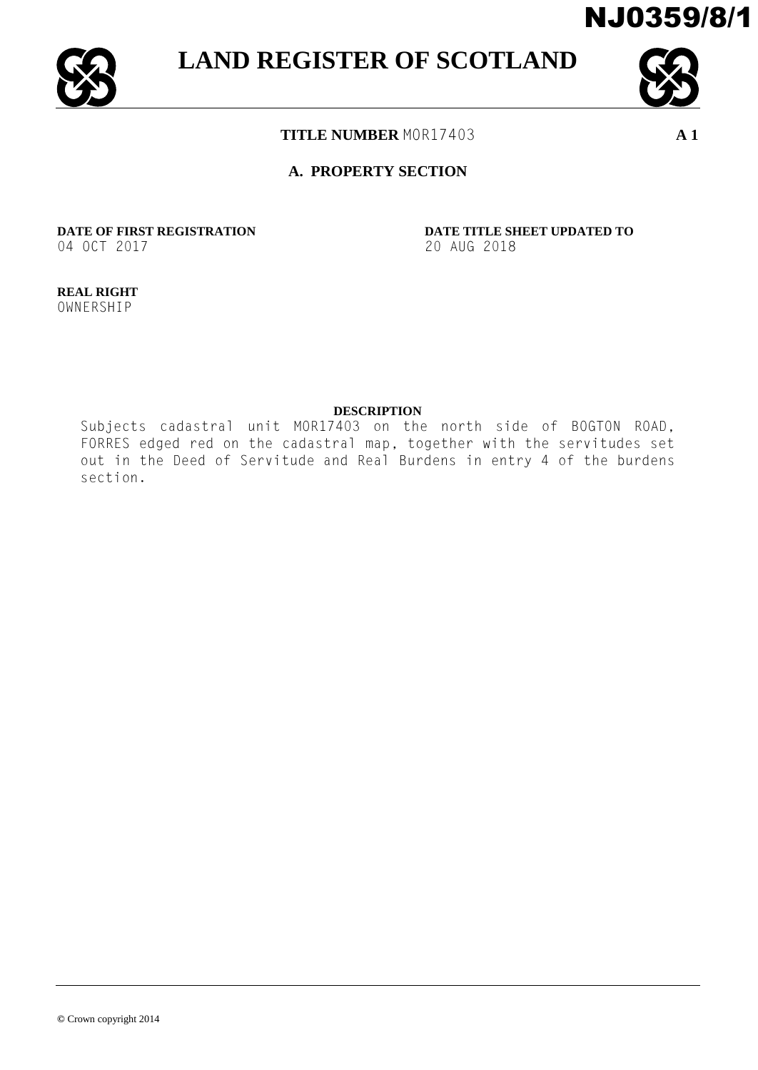



**LAND REGISTER OF SCOTLAND**



**TITLE NUMBER** MOR17403 **A 1**

# **A. PROPERTY SECTION**

04 OCT 2017 20 AUG 2018

**DATE OF FIRST REGISTRATION DATE TITLE SHEET UPDATED TO**

**REAL RIGHT** OWNERSHIP

#### **DESCRIPTION**

Subjects cadastral unit MOR17403 on the north side of BOGTON ROAD, FORRES edged red on the cadastral map, together with the servitudes set out in the Deed of Servitude and Real Burdens in entry 4 of the burdens section.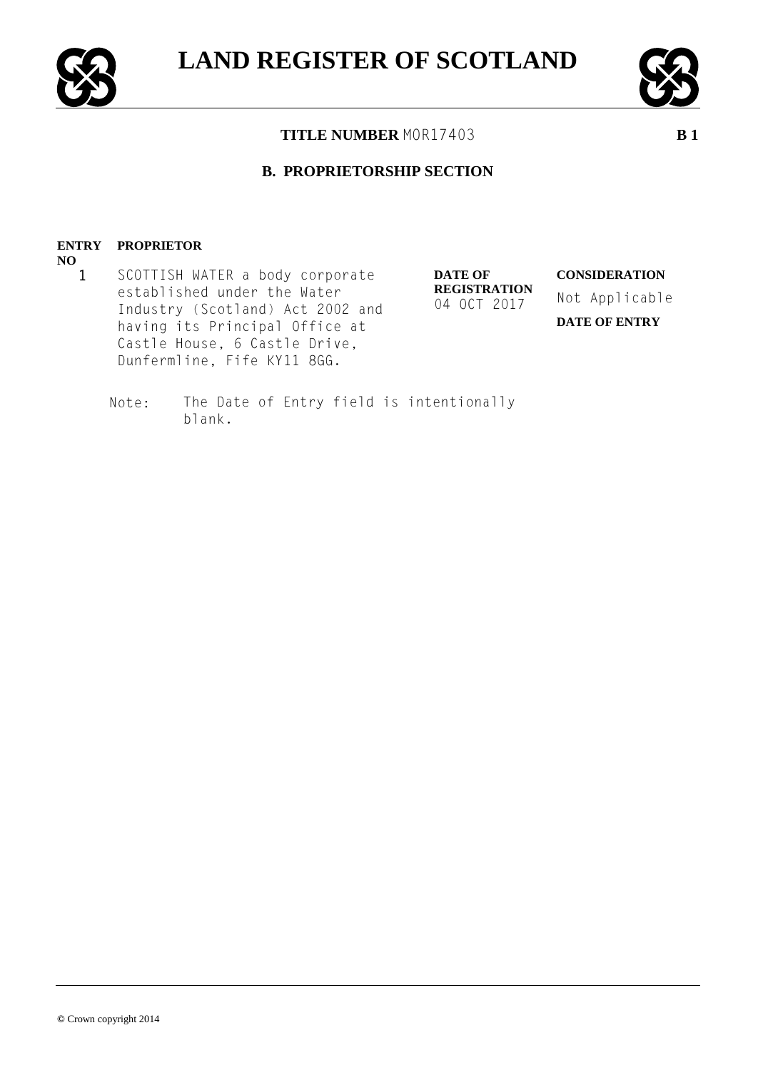

**NO**



**TITLE NUMBER** MOR17403 **B 1**

# **B. PROPRIETORSHIP SECTION**

#### **ENTRY PROPRIETOR**

1 SCOTTISH WATER a body corporate established under the Water Industry (Scotland) Act 2002 and having its Principal Office at Castle House, 6 Castle Drive, Dunfermline, Fife KY11 8GG.

**DATE OF REGISTRATION** 04 OCT 2017

**CONSIDERATION** Not Applicable **DATE OF ENTRY**

Note: The Date of Entry field is intentionally blank.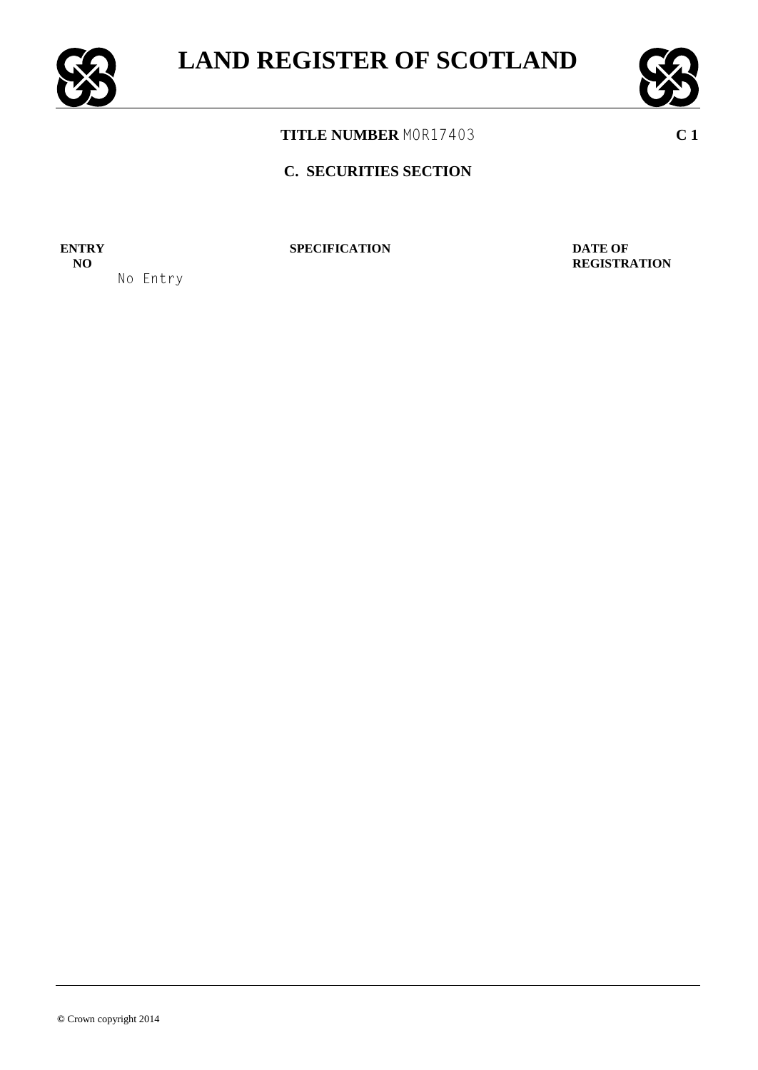



# **C. SECURITIES SECTION**

**ENTRY NO**

No Entry

**SPECIFICATION DATE OF** 

**REGISTRATION**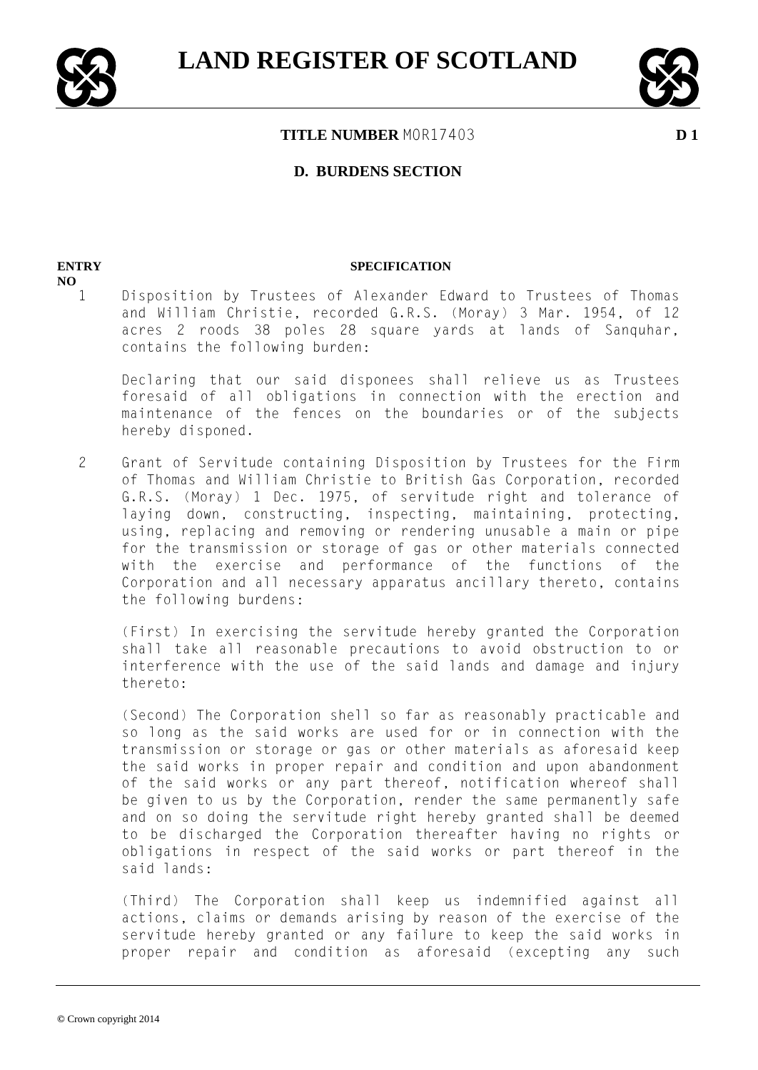



#### **D. BURDENS SECTION**

#### **ENTRY**

**NO**

#### **SPECIFICATION**

1 Disposition by Trustees of Alexander Edward to Trustees of Thomas and William Christie, recorded G.R.S. (Moray) 3 Mar. 1954, of 12 acres 2 roods 38 poles 28 square yards at lands of Sanquhar, contains the following burden:

Declaring that our said disponees shall relieve us as Trustees foresaid of all obligations in connection with the erection and maintenance of the fences on the boundaries or of the subjects hereby disponed.

2 Grant of Servitude containing Disposition by Trustees for the Firm of Thomas and William Christie to British Gas Corporation, recorded G.R.S. (Moray) 1 Dec. 1975, of servitude right and tolerance of laying down, constructing, inspecting, maintaining, protecting, using, replacing and removing or rendering unusable a main or pipe for the transmission or storage of gas or other materials connected with the exercise and performance of the functions of the Corporation and all necessary apparatus ancillary thereto, contains the following burdens:

(First) In exercising the servitude hereby granted the Corporation shall take all reasonable precautions to avoid obstruction to or interference with the use of the said lands and damage and injury thereto:

(Second) The Corporation shell so far as reasonably practicable and so long as the said works are used for or in connection with the transmission or storage or gas or other materials as aforesaid keep the said works in proper repair and condition and upon abandonment of the said works or any part thereof, notification whereof shall be given to us by the Corporation, render the same permanently safe and on so doing the servitude right hereby granted shall be deemed to be discharged the Corporation thereafter having no rights or obligations in respect of the said works or part thereof in the said lands:

(Third) The Corporation shall keep us indemnified against all actions, claims or demands arising by reason of the exercise of the servitude hereby granted or any failure to keep the said works in proper repair and condition as aforesaid (excepting any such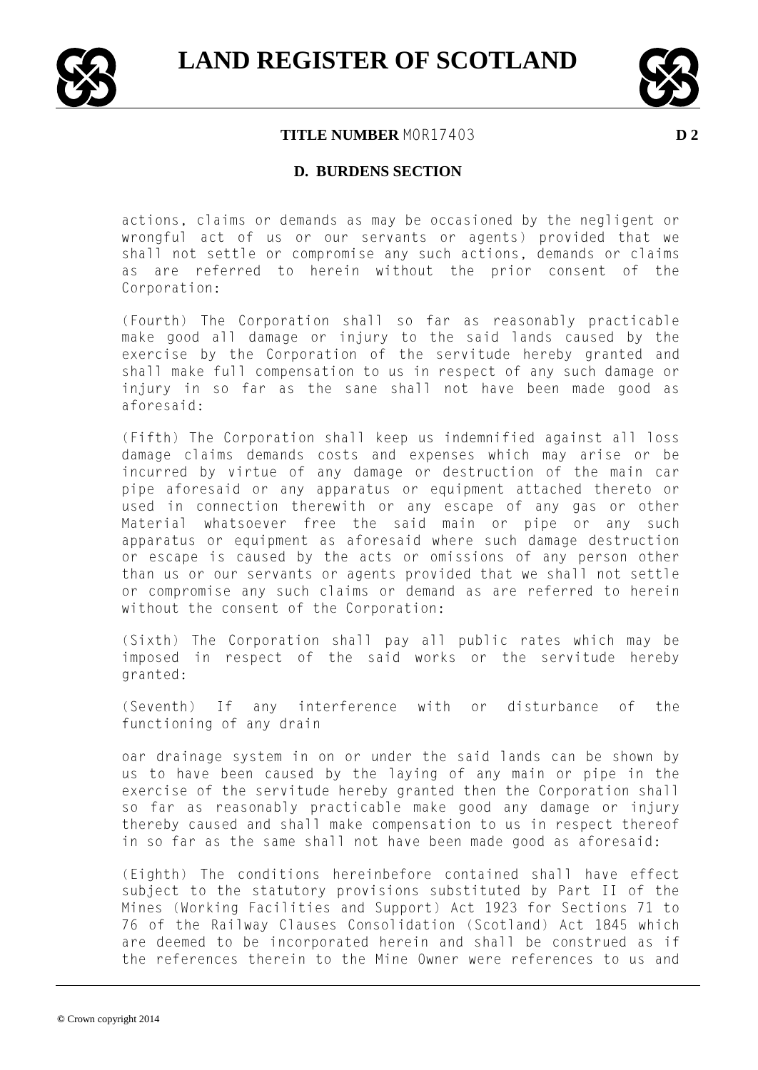



### **D. BURDENS SECTION**

actions, claims or demands as may be occasioned by the negligent or wrongful act of us or our servants or agents) provided that we shall not settle or compromise any such actions, demands or claims as are referred to herein without the prior consent of the Corporation:

(Fourth) The Corporation shall so far as reasonably practicable make good all damage or injury to the said lands caused by the exercise by the Corporation of the servitude hereby granted and shall make full compensation to us in respect of any such damage or injury in so far as the sane shall not have been made good as aforesaid:

(Fifth) The Corporation shall keep us indemnified against all loss damage claims demands costs and expenses which may arise or be incurred by virtue of any damage or destruction of the main car pipe aforesaid or any apparatus or equipment attached thereto or used in connection therewith or any escape of any gas or other Material whatsoever free the said main or pipe or any such apparatus or equipment as aforesaid where such damage destruction or escape is caused by the acts or omissions of any person other than us or our servants or agents provided that we shall not settle or compromise any such claims or demand as are referred to herein without the consent of the Corporation:

(Sixth) The Corporation shall pay all public rates which may be imposed in respect of the said works or the servitude hereby granted:

(Seventh) If any interference with or disturbance of the functioning of any drain

oar drainage system in on or under the said lands can be shown by us to have been caused by the laying of any main or pipe in the exercise of the servitude hereby granted then the Corporation shall so far as reasonably practicable make good any damage or injury thereby caused and shall make compensation to us in respect thereof in so far as the same shall not have been made good as aforesaid:

(Eighth) The conditions hereinbefore contained shall have effect subject to the statutory provisions substituted by Part II of the Mines (Working Facilities and Support) Act 1923 for Sections 71 to 76 of the Railway Clauses Consolidation (Scotland) Act 1845 which are deemed to be incorporated herein and shall be construed as if the references therein to the Mine Owner were references to us and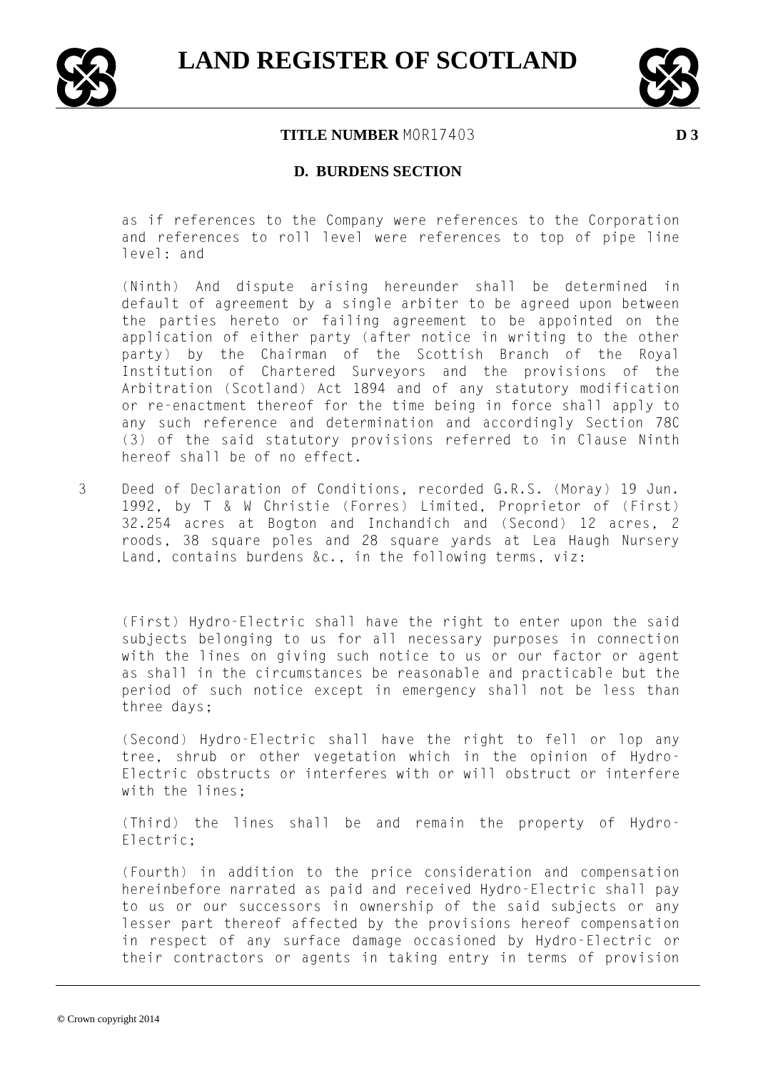



### **D. BURDENS SECTION**

as if references to the Company were references to the Corporation and references to roll level were references to top of pipe line level: and

(Ninth) And dispute arising hereunder shall be determined in default of agreement by a single arbiter to be agreed upon between the parties hereto or failing agreement to be appointed on the application of either party (after notice in writing to the other party) by the Chairman of the Scottish Branch of the Royal Institution of Chartered Surveyors and the provisions of the Arbitration (Scotland) Act 1894 and of any statutory modification or re-enactment thereof for the time being in force shall apply to any such reference and determination and accordingly Section 78C (3) of the said statutory provisions referred to in Clause Ninth hereof shall be of no effect.

3 Deed of Declaration of Conditions, recorded G.R.S. (Moray) 19 Jun. 1992, by T & W Christie (Forres) Limited, Proprietor of (First) 32.254 acres at Bogton and Inchandich and (Second) 12 acres, 2 roods, 38 square poles and 28 square yards at Lea Haugh Nursery Land, contains burdens &c., in the following terms, viz:

(First) Hydro-Electric shall have the right to enter upon the said subjects belonging to us for all necessary purposes in connection with the lines on giving such notice to us or our factor or agent as shall in the circumstances be reasonable and practicable but the period of such notice except in emergency shall not be less than three days;

(Second) Hydro-Electric shall have the right to fell or lop any tree, shrub or other vegetation which in the opinion of Hydro-Electric obstructs or interferes with or will obstruct or interfere with the lines;

(Third) the lines shall be and remain the property of Hydro-Electric;

(Fourth) in addition to the price consideration and compensation hereinbefore narrated as paid and received Hydro-Electric shall pay to us or our successors in ownership of the said subjects or any lesser part thereof affected by the provisions hereof compensation in respect of any surface damage occasioned by Hydro-Electric or their contractors or agents in taking entry in terms of provision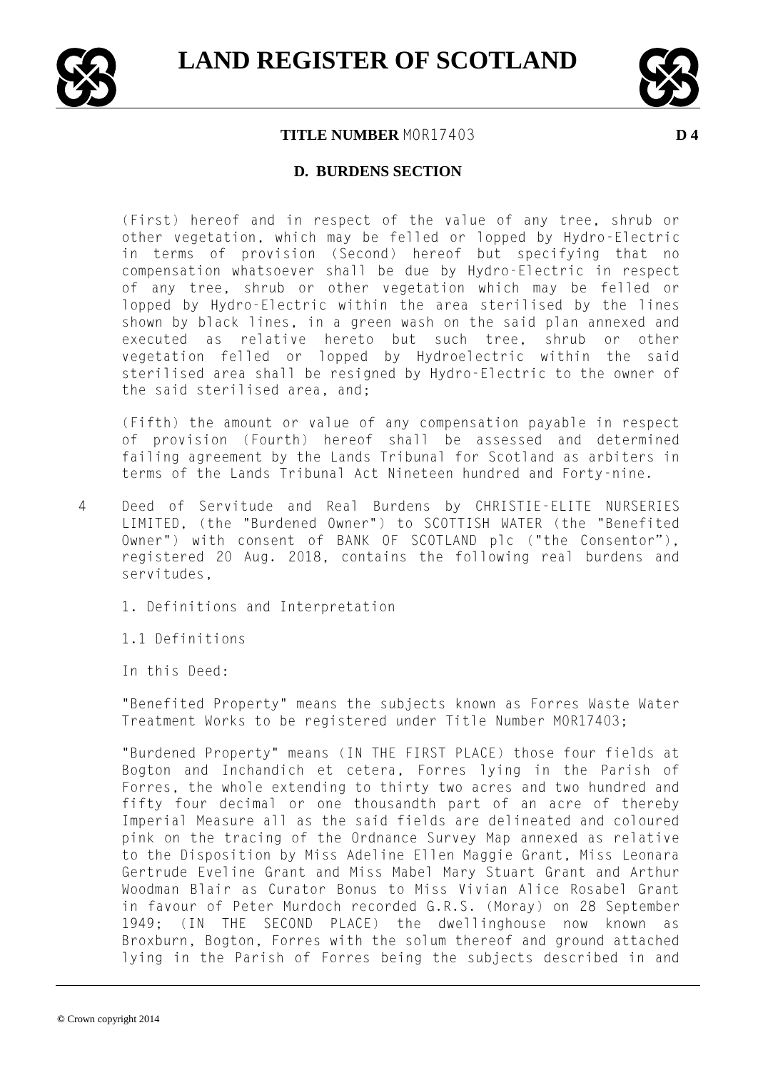



### **D. BURDENS SECTION**

(First) hereof and in respect of the value of any tree, shrub or other vegetation, which may be felled or lopped by Hydro-Electric in terms of provision (Second) hereof but specifying that no compensation whatsoever shall be due by Hydro-Electric in respect of any tree, shrub or other vegetation which may be felled or lopped by Hydro-Electric within the area sterilised by the lines shown by black lines, in a green wash on the said plan annexed and executed as relative hereto but such tree, shrub or other vegetation felled or lopped by Hydroelectric within the said sterilised area shall be resigned by Hydro-Electric to the owner of the said sterilised area, and;

(Fifth) the amount or value of any compensation payable in respect of provision (Fourth) hereof shall be assessed and determined failing agreement by the Lands Tribunal for Scotland as arbiters in terms of the Lands Tribunal Act Nineteen hundred and Forty-nine.

- 4 Deed of Servitude and Real Burdens by CHRISTIE-ELITE NURSERIES LIMITED, (the "Burdened Owner") to SCOTTISH WATER (the "Benefited Owner") with consent of BANK OF SCOTLAND plc ("the Consentor"), registered 20 Aug. 2018, contains the following real burdens and servitudes,
	- 1. Definitions and Interpretation

1.1 Definitions

In this Deed:

"Benefited Property" means the subjects known as Forres Waste Water Treatment Works to be registered under Title Number MOR17403;

"Burdened Property" means (IN THE FIRST PLACE) those four fields at Bogton and Inchandich et cetera, Forres lying in the Parish of Forres, the whole extending to thirty two acres and two hundred and fifty four decimal or one thousandth part of an acre of thereby Imperial Measure all as the said fields are delineated and coloured pink on the tracing of the Ordnance Survey Map annexed as relative to the Disposition by Miss Adeline Ellen Maggie Grant, Miss Leonara Gertrude Eveline Grant and Miss Mabel Mary Stuart Grant and Arthur Woodman Blair as Curator Bonus to Miss Vivian Alice Rosabel Grant in favour of Peter Murdoch recorded G.R.S. (Moray) on 28 September 1949; (IN THE SECOND PLACE) the dwellinghouse now known as Broxburn, Bogton, Forres with the solum thereof and ground attached lying in the Parish of Forres being the subjects described in and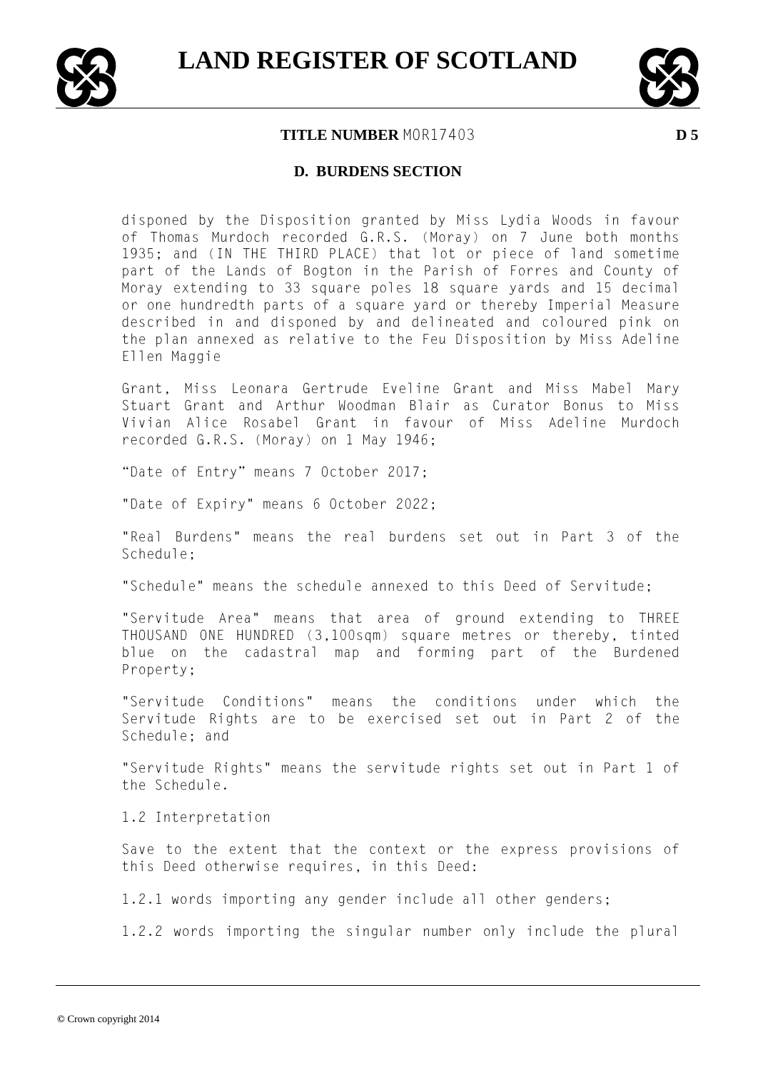



#### **D. BURDENS SECTION**

disponed by the Disposition granted by Miss Lydia Woods in favour of Thomas Murdoch recorded G.R.S. (Moray) on 7 June both months 1935; and (IN THE THIRD PLACE) that lot or piece of land sometime part of the Lands of Bogton in the Parish of Forres and County of Moray extending to 33 square poles 18 square yards and 15 decimal or one hundredth parts of a square yard or thereby Imperial Measure described in and disponed by and delineated and coloured pink on the plan annexed as relative to the Feu Disposition by Miss Adeline Ellen Maggie

Grant, Miss Leonara Gertrude Eveline Grant and Miss Mabel Mary Stuart Grant and Arthur Woodman Blair as Curator Bonus to Miss Vivian Alice Rosabel Grant in favour of Miss Adeline Murdoch recorded G.R.S. (Moray) on 1 May 1946;

"Date of Entry" means 7 October 2017;

"Date of Expiry" means 6 October 2022;

"Real Burdens" means the real burdens set out in Part 3 of the Schedule;

"Schedule" means the schedule annexed to this Deed of Servitude;

"Servitude Area" means that area of ground extending to THREE THOUSAND ONE HUNDRED (3,100sqm) square metres or thereby, tinted blue on the cadastral map and forming part of the Burdened Property;

"Servitude Conditions" means the conditions under which the Servitude Rights are to be exercised set out in Part 2 of the Schedule; and

"Servitude Rights" means the servitude rights set out in Part 1 of the Schedule.

1.2 Interpretation

Save to the extent that the context or the express provisions of this Deed otherwise requires, in this Deed:

1.2.1 words importing any gender include all other genders;

1.2.2 words importing the singular number only include the plural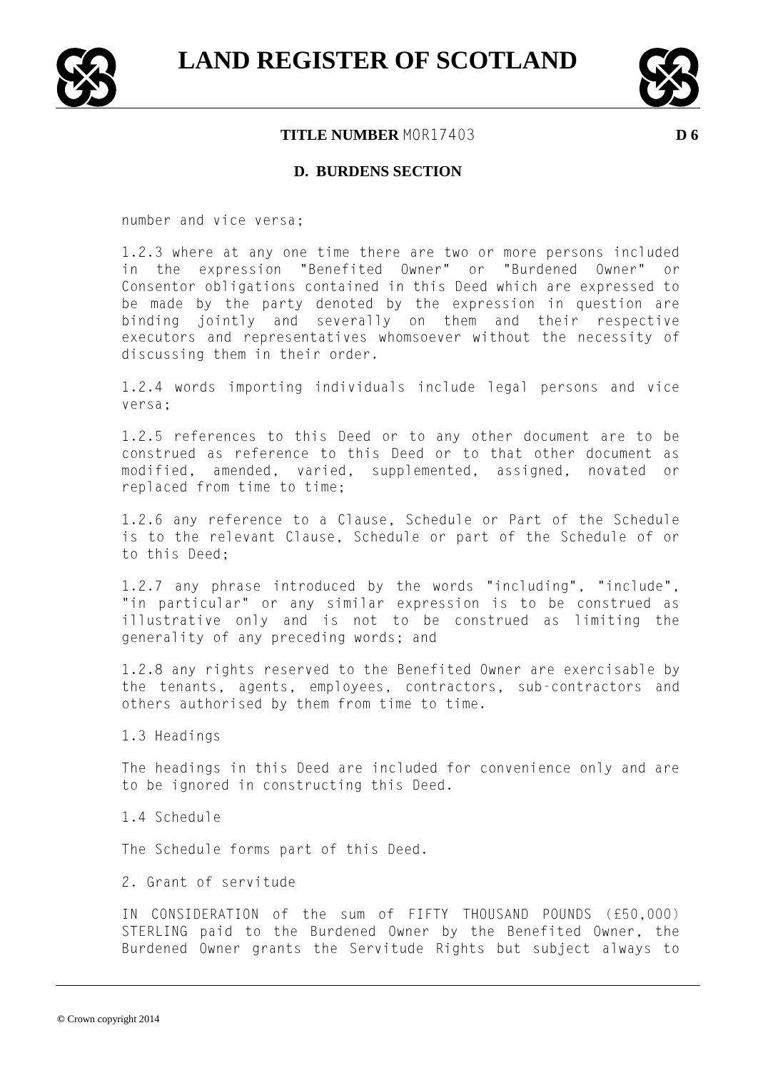



#### **D. BURDENS SECTION**

number and vice versa;

1.2.3 where at any one time there are two or more persons included in the expression "Benefited Owner" or "Burdened Owner" or Consentor obligations contained in this Deed which are expressed to be made by the party denoted by the expression in question are binding jointly and severally on them and their respective executors and representatives whomsoever without the necessity of discussing them in their order.

1.2.4 words importing individuals include legal persons and vice versa;

1.2.5 references to this Deed or to any other document are to be construed as reference to this Deed or to that other document as modified, amended, varied, supplemented, assigned, novated or replaced from time to time;

1.2.6 any reference to a Clause, Schedule or Part of the Schedule is to the relevant Clause, Schedule or part of the Schedule of or to this Deed;

1.2.7 any phrase introduced by the words "including", "include", "in particular" or any similar expression is to be construed as illustrative only and is not to be construed as limiting the generality of any preceding words; and

1.2.8 any rights reserved to the Benefited Owner are exercisable by the tenants, agents, employees, contractors, sub-contractors and others authorised by them from time to time.

1.3 Headings

The headings in this Deed are included for convenience only and are to be ignored in constructing this Deed.

1.4 Schedule

The Schedule forms part of this Deed.

2. Grant of servitude

IN CONSIDERATION of the sum of FIFTY THOUSAND POUNDS (£50,000) STERLING paid to the Burdened Owner by the Benefited Owner, the Burdened Owner grants the Servitude Rights but subject always to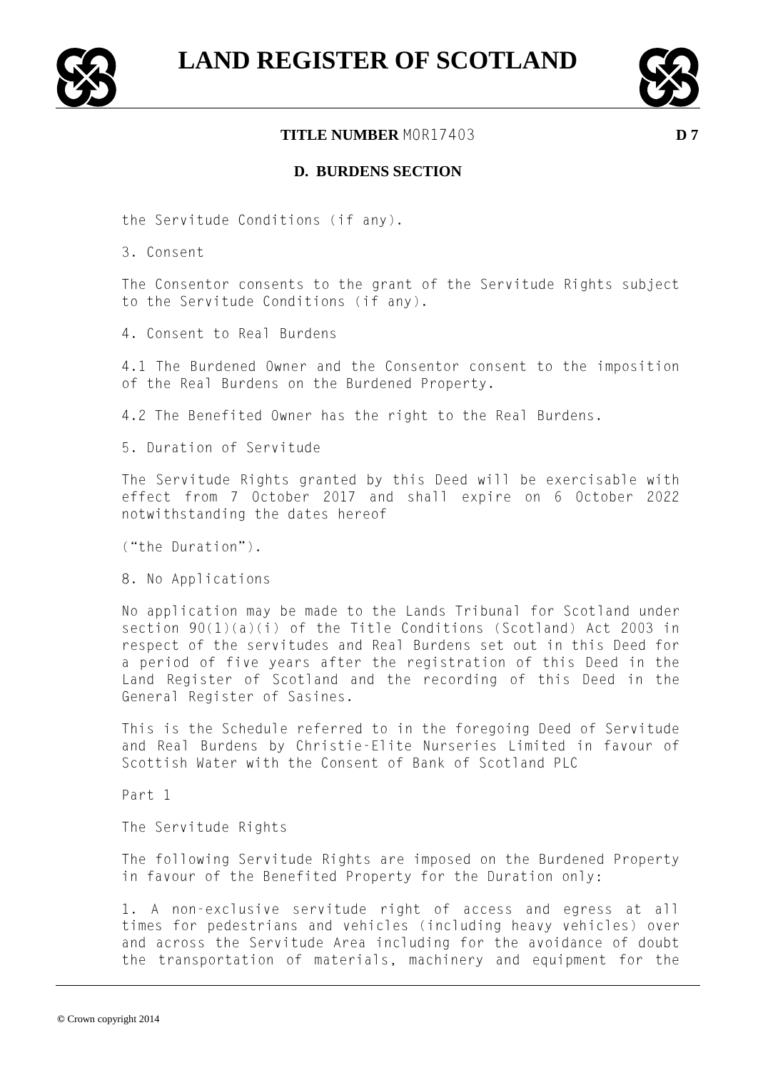



### **D. BURDENS SECTION**

the Servitude Conditions (if any).

3. Consent

The Consentor consents to the grant of the Servitude Rights subject to the Servitude Conditions (if any).

4. Consent to Real Burdens

4.1 The Burdened Owner and the Consentor consent to the imposition of the Real Burdens on the Burdened Property.

4.2 The Benefited Owner has the right to the Real Burdens.

5. Duration of Servitude

The Servitude Rights granted by this Deed will be exercisable with effect from 7 October 2017 and shall expire on 6 October 2022 notwithstanding the dates hereof

("the Duration").

8. No Applications

No application may be made to the Lands Tribunal for Scotland under section 90(1)(a)(i) of the Title Conditions (Scotland) Act 2003 in respect of the servitudes and Real Burdens set out in this Deed for a period of five years after the registration of this Deed in the Land Register of Scotland and the recording of this Deed in the General Register of Sasines.

This is the Schedule referred to in the foregoing Deed of Servitude and Real Burdens by Christie-Elite Nurseries Limited in favour of Scottish Water with the Consent of Bank of Scotland PLC

Part 1

The Servitude Rights

The following Servitude Rights are imposed on the Burdened Property in favour of the Benefited Property for the Duration only:

1. A non-exclusive servitude right of access and egress at all times for pedestrians and vehicles (including heavy vehicles) over and across the Servitude Area including for the avoidance of doubt the transportation of materials, machinery and equipment for the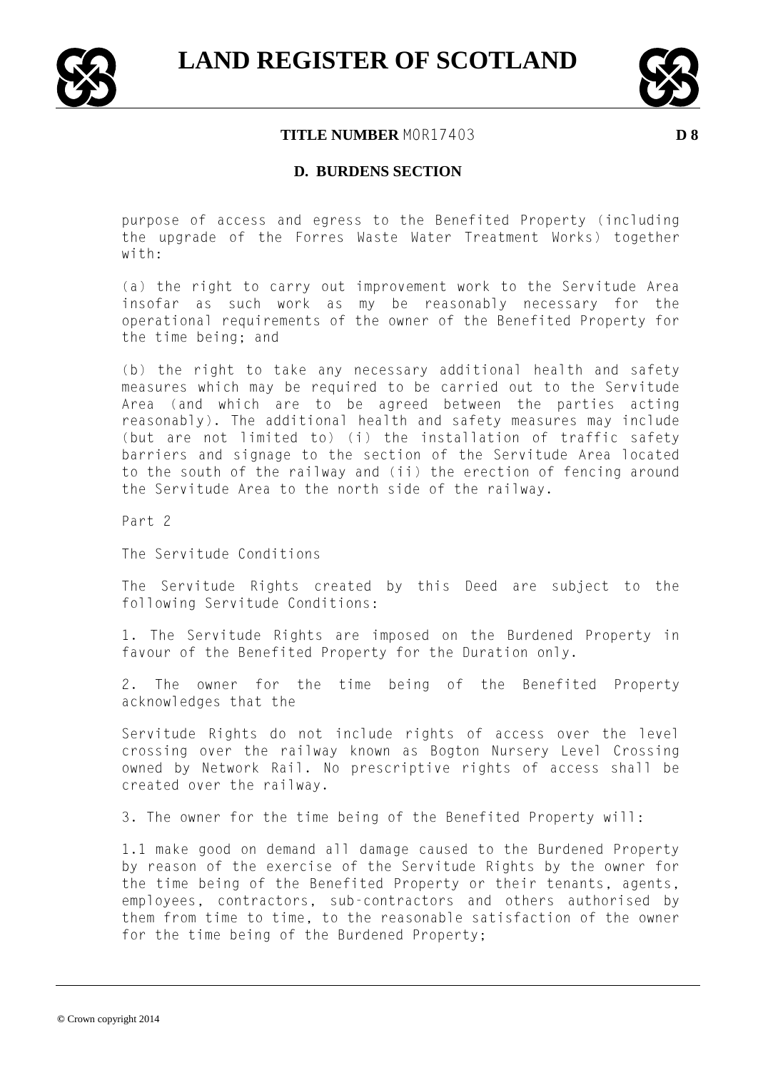



### **D. BURDENS SECTION**

purpose of access and egress to the Benefited Property (including the upgrade of the Forres Waste Water Treatment Works) together with:

(a) the right to carry out improvement work to the Servitude Area insofar as such work as my be reasonably necessary for the operational requirements of the owner of the Benefited Property for the time being; and

(b) the right to take any necessary additional health and safety measures which may be required to be carried out to the Servitude Area (and which are to be agreed between the parties acting reasonably). The additional health and safety measures may include (but are not limited to) (i) the installation of traffic safety barriers and signage to the section of the Servitude Area located to the south of the railway and (ii) the erection of fencing around the Servitude Area to the north side of the railway.

Part 2

The Servitude Conditions

The Servitude Rights created by this Deed are subject to the following Servitude Conditions:

1. The Servitude Rights are imposed on the Burdened Property in favour of the Benefited Property for the Duration only.

2. The owner for the time being of the Benefited Property acknowledges that the

Servitude Rights do not include rights of access over the level crossing over the railway known as Bogton Nursery Level Crossing owned by Network Rail. No prescriptive rights of access shall be created over the railway.

3. The owner for the time being of the Benefited Property will:

1.1 make good on demand all damage caused to the Burdened Property by reason of the exercise of the Servitude Rights by the owner for the time being of the Benefited Property or their tenants, agents, employees, contractors, sub-contractors and others authorised by them from time to time, to the reasonable satisfaction of the owner for the time being of the Burdened Property;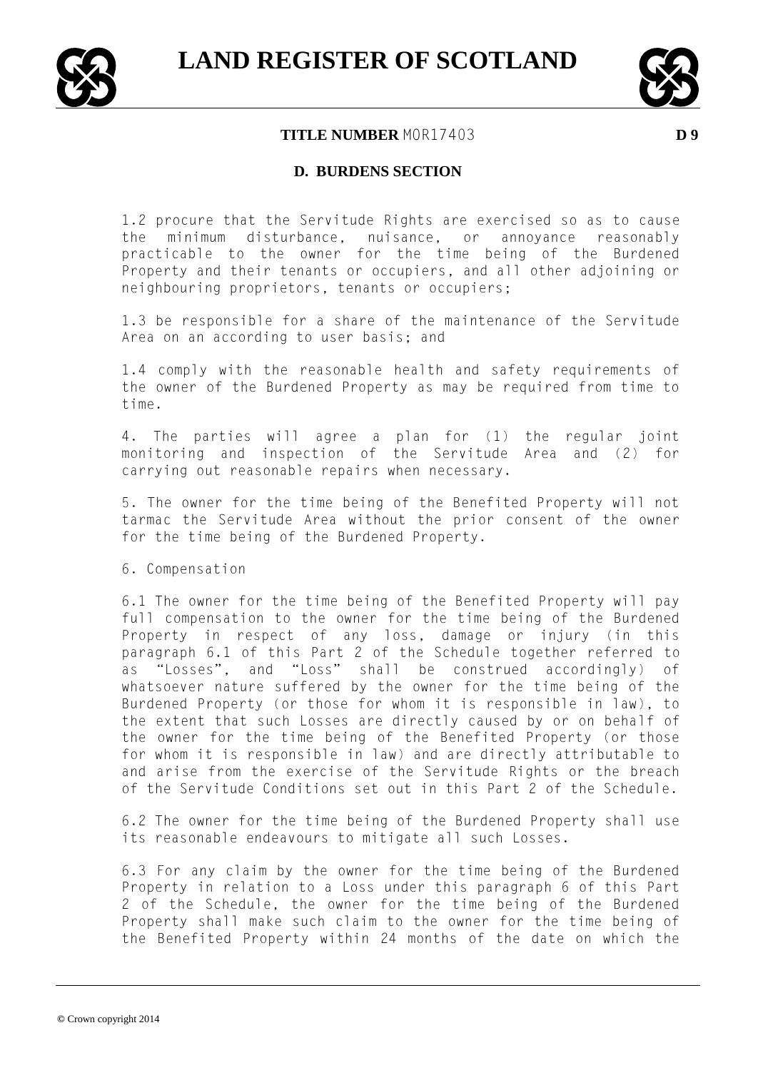



**D. BURDENS SECTION**

1.2 procure that the Servitude Rights are exercised so as to cause the minimum disturbance, nuisance, or annoyance reasonably practicable to the owner for the time being of the Burdened Property and their tenants or occupiers, and all other adjoining or neighbouring proprietors, tenants or occupiers;

1.3 be responsible for a share of the maintenance of the Servitude Area on an according to user basis; and

1.4 comply with the reasonable health and safety requirements of the owner of the Burdened Property as may be required from time to time.

4. The parties will agree a plan for (1) the regular joint monitoring and inspection of the Servitude Area and (2) for carrying out reasonable repairs when necessary.

5. The owner for the time being of the Benefited Property will not tarmac the Servitude Area without the prior consent of the owner for the time being of the Burdened Property.

6. Compensation

6.1 The owner for the time being of the Benefited Property will pay full compensation to the owner for the time being of the Burdened Property in respect of any loss, damage or injury (in this paragraph 6.1 of this Part 2 of the Schedule together referred to as "Losses", and "Loss" shall be construed accordingly) of whatsoever nature suffered by the owner for the time being of the Burdened Property (or those for whom it is responsible in law), to the extent that such Losses are directly caused by or on behalf of the owner for the time being of the Benefited Property (or those for whom it is responsible in law) and are directly attributable to and arise from the exercise of the Servitude Rights or the breach of the Servitude Conditions set out in this Part 2 of the Schedule.

6.2 The owner for the time being of the Burdened Property shall use its reasonable endeavours to mitigate all such Losses.

6.3 For any claim by the owner for the time being of the Burdened Property in relation to a Loss under this paragraph 6 of this Part 2 of the Schedule, the owner for the time being of the Burdened Property shall make such claim to the owner for the time being of the Benefited Property within 24 months of the date on which the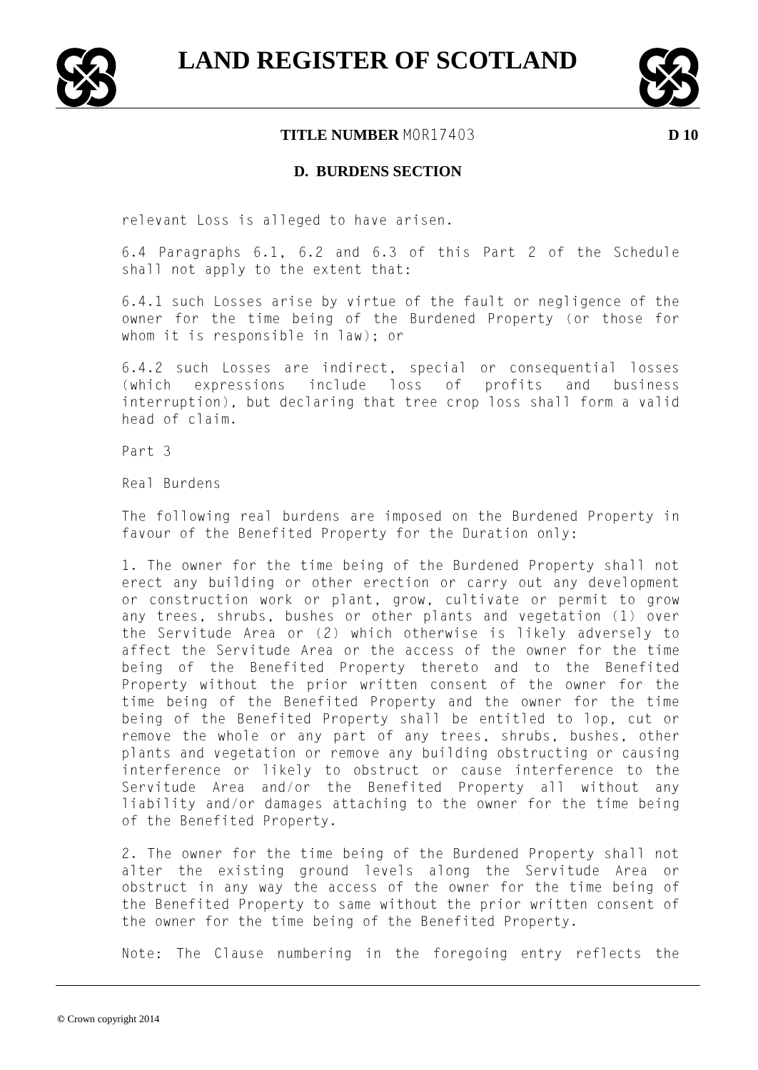



#### **D. BURDENS SECTION**

relevant Loss is alleged to have arisen.

6.4 Paragraphs 6.1, 6.2 and 6.3 of this Part 2 of the Schedule shall not apply to the extent that:

6.4.1 such Losses arise by virtue of the fault or negligence of the owner for the time being of the Burdened Property (or those for whom it is responsible in law); or

6.4.2 such Losses are indirect, special or consequential losses (which expressions include loss of profits and business interruption), but declaring that tree crop loss shall form a valid head of claim.

Part 3

Real Burdens

The following real burdens are imposed on the Burdened Property in favour of the Benefited Property for the Duration only:

1. The owner for the time being of the Burdened Property shall not erect any building or other erection or carry out any development or construction work or plant, grow, cultivate or permit to grow any trees, shrubs, bushes or other plants and vegetation (1) over the Servitude Area or (2) which otherwise is likely adversely to affect the Servitude Area or the access of the owner for the time being of the Benefited Property thereto and to the Benefited Property without the prior written consent of the owner for the time being of the Benefited Property and the owner for the time being of the Benefited Property shall be entitled to lop, cut or remove the whole or any part of any trees, shrubs, bushes, other plants and vegetation or remove any building obstructing or causing interference or likely to obstruct or cause interference to the Servitude Area and/or the Benefited Property all without any liability and/or damages attaching to the owner for the time being of the Benefited Property.

2. The owner for the time being of the Burdened Property shall not alter the existing ground levels along the Servitude Area or obstruct in any way the access of the owner for the time being of the Benefited Property to same without the prior written consent of the owner for the time being of the Benefited Property.

Note: The Clause numbering in the foregoing entry reflects the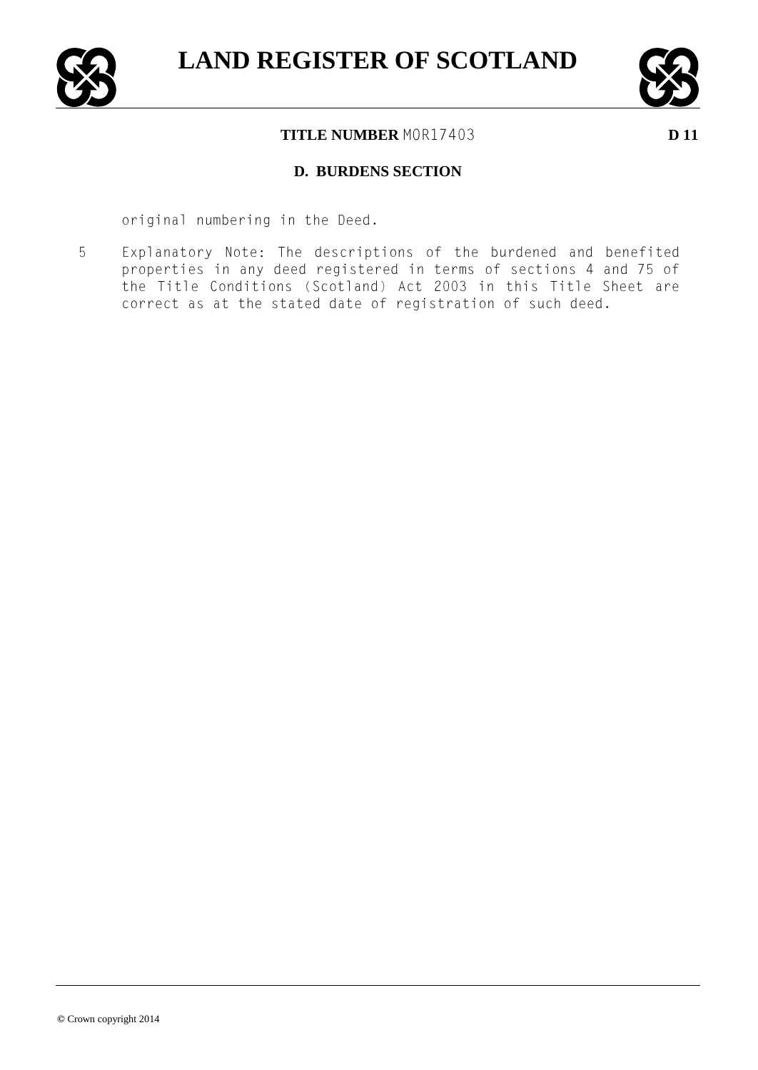



## **D. BURDENS SECTION**

original numbering in the Deed.

5 Explanatory Note: The descriptions of the burdened and benefited properties in any deed registered in terms of sections 4 and 75 of the Title Conditions (Scotland) Act 2003 in this Title Sheet are correct as at the stated date of registration of such deed.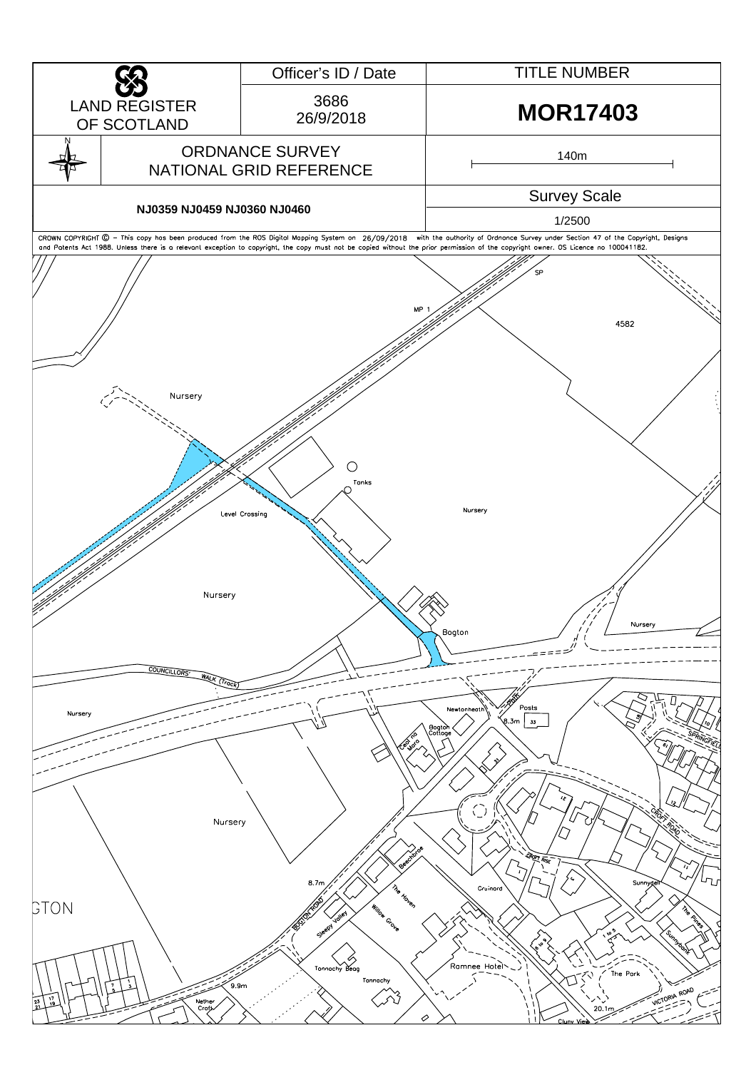